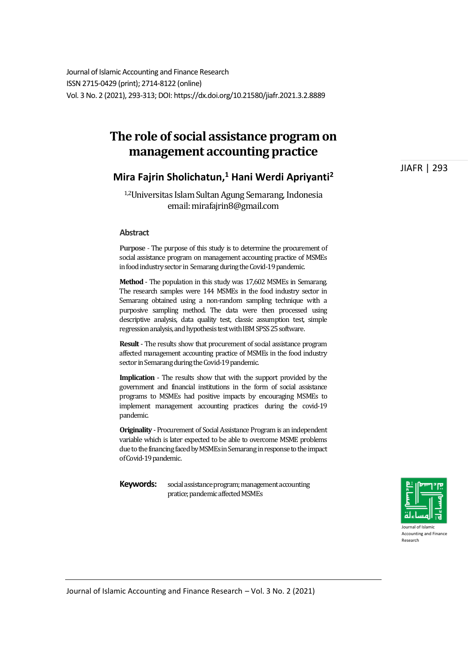Journal of Islamic Accounting and Finance Research ISSN 2715-0429 (print); 2714-8122 (online) Vol. 3 No. 2 (2021), 293-313; DOI: https://dx.doi.org/10.21580/jiafr.2021.3.2.8889

# **The role of social assistance program on management accounting practice**

# **Mira Fajrin Sholichatun, <sup>1</sup> Hani Werdi Apriyanti<sup>2</sup>**

1,2Universitas Islam Sultan Agung Semarang, Indonesia email: mirafajrin8@gmail.com

#### **Abstract**

**Purpose** - The purpose of this study is to determine the procurement of social assistance program on management accounting practice of MSMEs in food industry sector in Semarangduring the Covid-19 pandemic.

**Method** - The population in this study was 17,602 MSMEs in Semarang. The research samples were 144 MSMEs in the food industry sector in Semarang obtained using a non-random sampling technique with a purposive sampling method. The data were then processed using descriptive analysis, data quality test, classic assumption test, simple regression analysis, and hypothesis test with IBM SPSS 25 software.

**Result** - The results show that procurement of social assistance program affected management accounting practice of MSMEs in the food industry sector in Semarang during the Covid-19 pandemic.

**Implication** - The results show that with the support provided by the government and financial institutions in the form of social assistance programs to MSMEs had positive impacts by encouraging MSMEs to implement management accounting practices during the covid-19 pandemic.

**Originality** - Procurement of Social Assistance Program is an independent variable which is later expected to be able to overcome MSME problems due to the financing faced by MSMEs in Semarang in response to the impact of Covid-19 pandemic.

**Keywords:** social assistance program; management accounting pratice; pandemic affected MSMEs



Accounting and Finance Research

Journal of Islamic Accounting and Finance Research – Vol. 3 No. 2 (2021)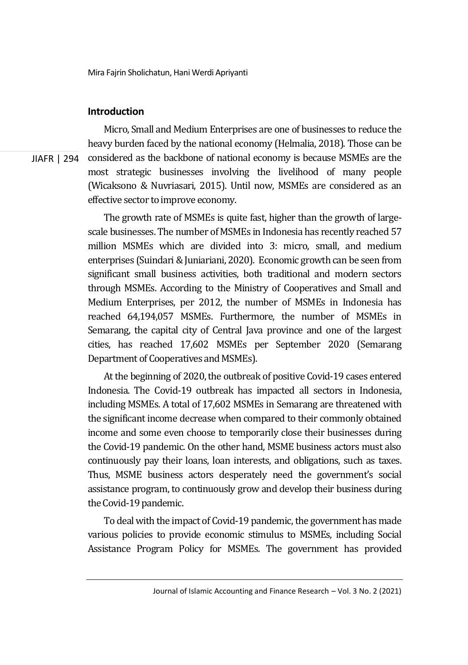### **Introduction**

JIAFR | 294

Micro, Small and Medium Enterprises are one of businesses to reduce the heavy burden faced by the national economy (Helmalia, 2018). Those can be considered as the backbone of national economy is because MSMEs are the most strategic businesses involving the livelihood of many people (Wicaksono & Nuvriasari, 2015). Until now, MSMEs are considered as an effective sector to improve economy.

The growth rate of MSMEs is quite fast, higher than the growth of largescale businesses. The number of MSMEs in Indonesia has recently reached 57 million MSMEs which are divided into 3: micro, small, and medium enterprises (Suindari & Juniariani, 2020). Economic growth can be seen from significant small business activities, both traditional and modern sectors through MSMEs. According to the Ministry of Cooperatives and Small and Medium Enterprises, per 2012, the number of MSMEs in Indonesia has reached 64,194,057 MSMEs. Furthermore, the number of MSMEs in Semarang, the capital city of Central Java province and one of the largest cities, has reached 17,602 MSMEs per September 2020 (Semarang Department of Cooperatives and MSMEs).

At the beginning of 2020, the outbreak of positive Covid-19 cases entered Indonesia. The Covid-19 outbreak has impacted all sectors in Indonesia, including MSMEs. A total of 17,602 MSMEs in Semarang are threatened with the significant income decrease when compared to their commonly obtained income and some even choose to temporarily close their businesses during the Covid-19 pandemic. On the other hand, MSME business actors must also continuously pay their loans, loan interests, and obligations, such as taxes. Thus, MSME business actors desperately need the government's social assistance program, to continuously grow and develop their business during the Covid-19 pandemic.

To deal with the impact of Covid-19 pandemic, the government has made various policies to provide economic stimulus to MSMEs, including Social Assistance Program Policy for MSMEs. The government has provided

Journal of Islamic Accounting and Finance Research – Vol. 3 No. 2 (2021)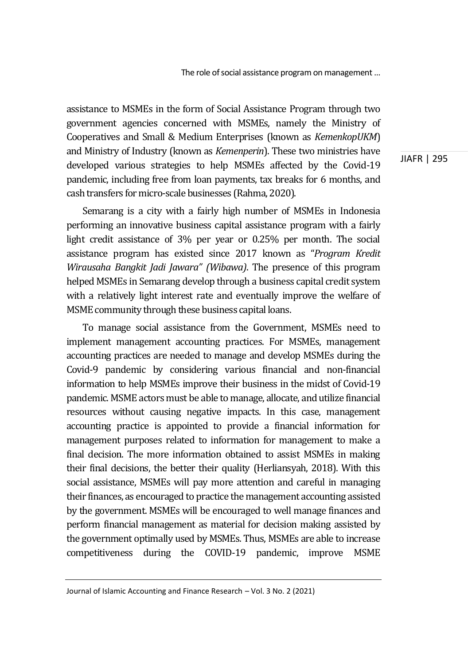assistance to MSMEs in the form of Social Assistance Program through two government agencies concerned with MSMEs, namely the Ministry of Cooperatives and Small & Medium Enterprises (known as *KemenkopUKM*) and Ministry of Industry (known as *Kemenperin*). These two ministries have developed various strategies to help MSMEs affected by the Covid-19 pandemic, including free from loan payments, tax breaks for 6 months, and cash transfers for micro-scale businesses (Rahma, 2020).

Semarang is a city with a fairly high number of MSMEs in Indonesia performing an innovative business capital assistance program with a fairly light credit assistance of 3% per year or 0.25% per month. The social assistance program has existed since 2017 known as "*Program Kredit Wirausaha Bangkit Jadi Jawara" (Wibawa)*. The presence of this program helped MSMEs in Semarang develop through a business capital credit system with a relatively light interest rate and eventually improve the welfare of MSME community through these business capital loans.

To manage social assistance from the Government, MSMEs need to implement management accounting practices. For MSMEs, management accounting practices are needed to manage and develop MSMEs during the Covid-9 pandemic by considering various financial and non-financial information to help MSMEs improve their business in the midst of Covid-19 pandemic. MSME actors must be able to manage, allocate, and utilize financial resources without causing negative impacts. In this case, management accounting practice is appointed to provide a financial information for management purposes related to information for management to make a final decision. The more information obtained to assist MSMEs in making their final decisions, the better their quality (Herliansyah, 2018). With this social assistance, MSMEs will pay more attention and careful in managing their finances, as encouraged to practice the management accounting assisted by the government. MSMEs will be encouraged to well manage finances and perform financial management as material for decision making assisted by the government optimally used by MSMEs. Thus, MSMEs are able to increase competitiveness during the COVID-19 pandemic, improve MSME

Journal of Islamic Accounting and Finance Research – Vol. 3 No. 2 (2021)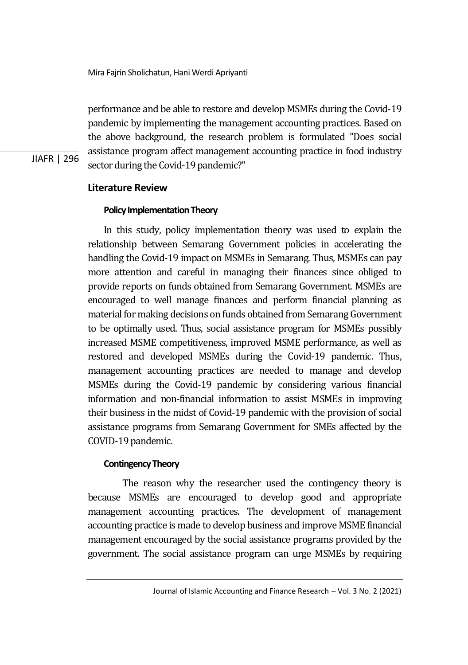performance and be able to restore and develop MSMEs during the Covid-19 pandemic by implementing the management accounting practices. Based on the above background, the research problem is formulated "Does social assistance program affect management accounting practice in food industry sector during the Covid-19 pandemic?"

# **Literature Review**

JIAFR | 296

# **Policy Implementation Theory**

In this study, policy implementation theory was used to explain the relationship between Semarang Government policies in accelerating the handling the Covid-19 impact on MSMEs in Semarang. Thus, MSMEs can pay more attention and careful in managing their finances since obliged to provide reports on funds obtained from Semarang Government. MSMEs are encouraged to well manage finances and perform financial planning as material for making decisions on funds obtained from Semarang Government to be optimally used. Thus, social assistance program for MSMEs possibly increased MSME competitiveness, improved MSME performance, as well as restored and developed MSMEs during the Covid-19 pandemic. Thus, management accounting practices are needed to manage and develop MSMEs during the Covid-19 pandemic by considering various financial information and non-financial information to assist MSMEs in improving their business in the midst of Covid-19 pandemic with the provision of social assistance programs from Semarang Government for SMEs affected by the COVID-19 pandemic.

### **Contingency Theory**

 The reason why the researcher used the contingency theory is because MSMEs are encouraged to develop good and appropriate management accounting practices. The development of management accounting practice is made to develop business and improve MSME financial management encouraged by the social assistance programs provided by the government. The social assistance program can urge MSMEs by requiring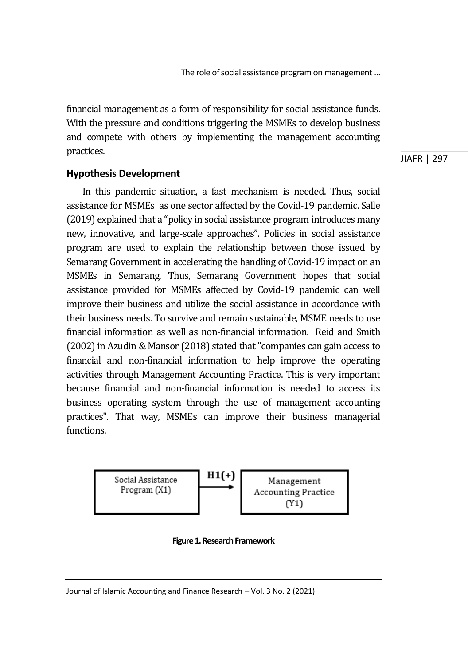financial management as a form of responsibility for social assistance funds. With the pressure and conditions triggering the MSMEs to develop business and compete with others by implementing the management accounting practices.

JIAFR | 297

# **Hypothesis Development**

In this pandemic situation, a fast mechanism is needed. Thus, social assistance for MSMEs as one sector affected by the Covid-19 pandemic. Salle (2019) explained that a "policy in social assistance program introduces many new, innovative, and large-scale approaches". Policies in social assistance program are used to explain the relationship between those issued by Semarang Government in accelerating the handling of Covid-19 impact on an MSMEs in Semarang. Thus, Semarang Government hopes that social assistance provided for MSMEs affected by Covid-19 pandemic can well improve their business and utilize the social assistance in accordance with their business needs. To survive and remain sustainable, MSME needs to use financial information as well as non-financial information. Reid and Smith (2002) in Azudin & Mansor (2018) stated that "companies can gain access to financial and non-financial information to help improve the operating activities through Management Accounting Practice. This is very important because financial and non-financial information is needed to access its business operating system through the use of management accounting practices". That way, MSMEs can improve their business managerial functions.



**Figure 1. Research Framework**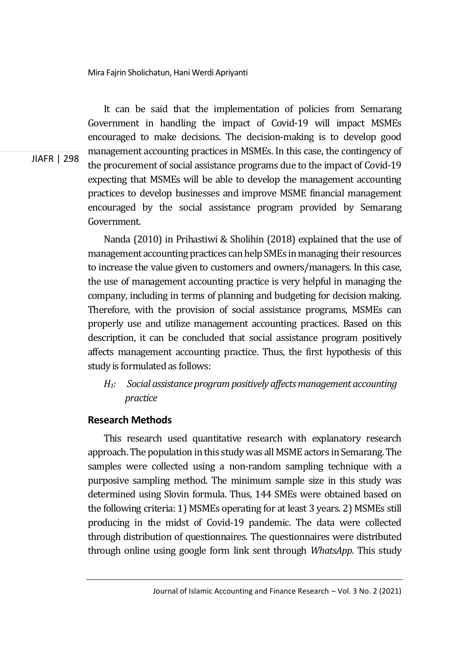It can be said that the implementation of policies from Semarang Government in handling the impact of Covid-19 will impact MSMEs encouraged to make decisions. The decision-making is to develop good management accounting practices in MSMEs. In this case, the contingency of the procurement of social assistance programs due to the impact of Covid-19 expecting that MSMEs will be able to develop the management accounting practices to develop businesses and improve MSME financial management encouraged by the social assistance program provided by Semarang Government.

Nanda (2010) in Prihastiwi & Sholihin (2018) explained that the use of management accounting practices can help SMEs in managing their resources to increase the value given to customers and owners/managers. In this case, the use of management accounting practice is very helpful in managing the company, including in terms of planning and budgeting for decision making. Therefore, with the provision of social assistance programs, MSMEs can properly use and utilize management accounting practices. Based on this description, it can be concluded that social assistance program positively affects management accounting practice. Thus, the first hypothesis of this study is formulated as follows:

# *H1: Social assistance programpositively affectsmanagement accounting practice*

# **Research Methods**

This research used quantitative research with explanatory research approach. The population in this study was all MSME actors in Semarang. The samples were collected using a non-random sampling technique with a purposive sampling method. The minimum sample size in this study was determined using Slovin formula. Thus, 144 SMEs were obtained based on the following criteria: 1) MSMEs operating for at least 3 years. 2) MSMEs still producing in the midst of Covid-19 pandemic. The data were collected through distribution of questionnaires. The questionnaires were distributed through online using google form link sent through *WhatsApp*. This study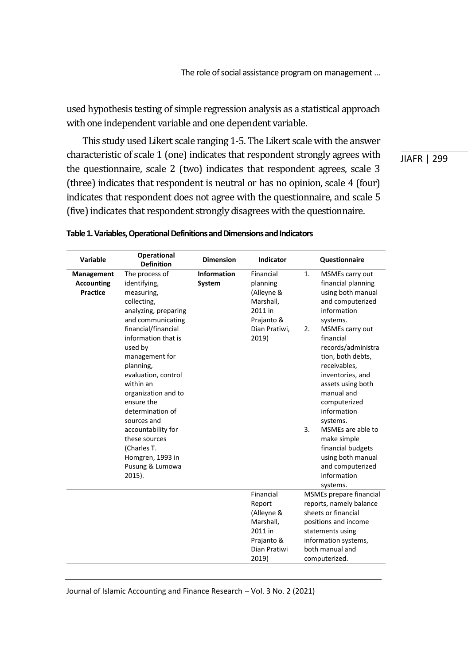used hypothesis testing of simple regression analysis as a statistical approach with one independent variable and one dependent variable.

This study used Likert scale ranging 1-5. The Likert scale with the answer characteristic of scale 1 (one) indicates that respondent strongly agrees with the questionnaire, scale 2 (two) indicates that respondent agrees, scale 3 (three) indicates that respondent is neutral or has no opinion, scale 4 (four) indicates that respondent does not agree with the questionnaire, and scale 5 (five) indicates that respondent strongly disagrees with the questionnaire.

JIAFR | 299

| Variable                                           | Operational<br><b>Definition</b>                                                                                                                                                                                                                                                                                                                                                                                       | <b>Dimension</b>      | Indicator                                                                                           | Questionnaire                                                                                                                                                                                                                                                                                                                                                                                                                                         |
|----------------------------------------------------|------------------------------------------------------------------------------------------------------------------------------------------------------------------------------------------------------------------------------------------------------------------------------------------------------------------------------------------------------------------------------------------------------------------------|-----------------------|-----------------------------------------------------------------------------------------------------|-------------------------------------------------------------------------------------------------------------------------------------------------------------------------------------------------------------------------------------------------------------------------------------------------------------------------------------------------------------------------------------------------------------------------------------------------------|
| Management<br><b>Accounting</b><br><b>Practice</b> | The process of<br>identifying,<br>measuring,<br>collecting,<br>analyzing, preparing<br>and communicating<br>financial/financial<br>information that is<br>used by<br>management for<br>planning,<br>evaluation, control<br>within an<br>organization and to<br>ensure the<br>determination of<br>sources and<br>accountability for<br>these sources<br>(Charles T.<br>Homgren, 1993 in<br>Pusung & Lumowa<br>$2015$ ). | Information<br>System | Financial<br>planning<br>(Alleyne &<br>Marshall.<br>2011 in<br>Prajanto &<br>Dian Pratiwi.<br>2019) | 1.<br>MSMEs carry out<br>financial planning<br>using both manual<br>and computerized<br>information<br>systems.<br>2.<br>MSMEs carry out<br>financial<br>records/administra<br>tion, both debts,<br>receivables,<br>inventories, and<br>assets using both<br>manual and<br>computerized<br>information<br>systems.<br>3.<br>MSMEs are able to<br>make simple<br>financial budgets<br>using both manual<br>and computerized<br>information<br>systems. |
|                                                    |                                                                                                                                                                                                                                                                                                                                                                                                                        |                       | Financial<br>Report<br>(Alleyne &<br>Marshall.<br>2011 in<br>Prajanto &<br>Dian Pratiwi<br>2019)    | MSMEs prepare financial<br>reports, namely balance<br>sheets or financial<br>positions and income<br>statements using<br>information systems,<br>both manual and<br>computerized.                                                                                                                                                                                                                                                                     |

#### **Table 1. Variables, Operational Definitionsand Dimensionsand Indicators**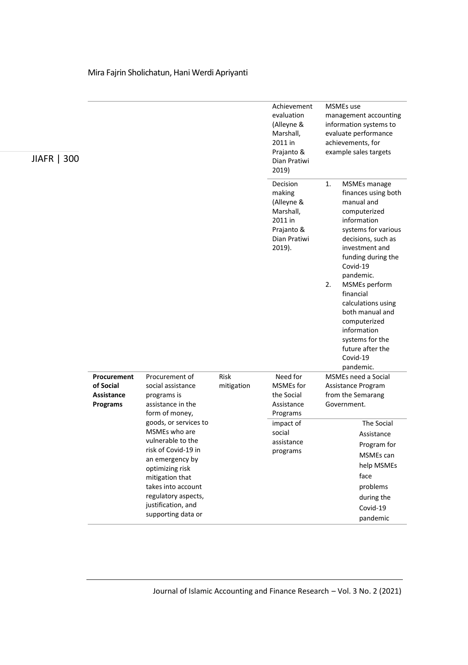| JIAFR   300 |                                                           |                                                                                                                                                                                                                                      |                    | Achievement<br>evaluation<br>(Alleyne &<br>Marshall,<br>2011 in<br>Prajanto &<br>Dian Pratiwi<br>2019) | MSMEs use<br>management accounting<br>information systems to<br>evaluate performance<br>achievements, for<br>example sales targets                                                                                                            |                                                                                                                                 |
|-------------|-----------------------------------------------------------|--------------------------------------------------------------------------------------------------------------------------------------------------------------------------------------------------------------------------------------|--------------------|--------------------------------------------------------------------------------------------------------|-----------------------------------------------------------------------------------------------------------------------------------------------------------------------------------------------------------------------------------------------|---------------------------------------------------------------------------------------------------------------------------------|
|             |                                                           |                                                                                                                                                                                                                                      |                    | Decision<br>making<br>(Alleyne &<br>Marshall,<br>2011 in<br>Prajanto &<br>Dian Pratiwi<br>2019).       | 1.<br>MSMEs manage<br>manual and<br>computerized<br>information<br>investment and<br>Covid-19<br>pandemic.<br>2.<br>MSMEs perform<br>financial<br>computerized<br>information<br>systems for the<br>future after the<br>Covid-19<br>pandemic. | finances using both<br>systems for various<br>decisions, such as<br>funding during the<br>calculations using<br>both manual and |
|             | Procurement<br>of Social<br><b>Assistance</b><br>Programs | Procurement of<br>social assistance<br>programs is<br>assistance in the<br>form of money,                                                                                                                                            | Risk<br>mitigation | Need for<br><b>MSMEs</b> for<br>the Social<br>Assistance<br>Programs                                   | MSMEs need a Social<br>Assistance Program<br>from the Semarang<br>Government.                                                                                                                                                                 |                                                                                                                                 |
|             |                                                           | goods, or services to<br>MSMEs who are<br>vulnerable to the<br>risk of Covid-19 in<br>an emergency by<br>optimizing risk<br>mitigation that<br>takes into account<br>regulatory aspects,<br>justification, and<br>supporting data or |                    | impact of<br>social<br>assistance<br>programs                                                          | face                                                                                                                                                                                                                                          | The Social<br>Assistance<br>Program for<br>MSMEs can<br>help MSMEs<br>problems<br>during the<br>Covid-19<br>pandemic            |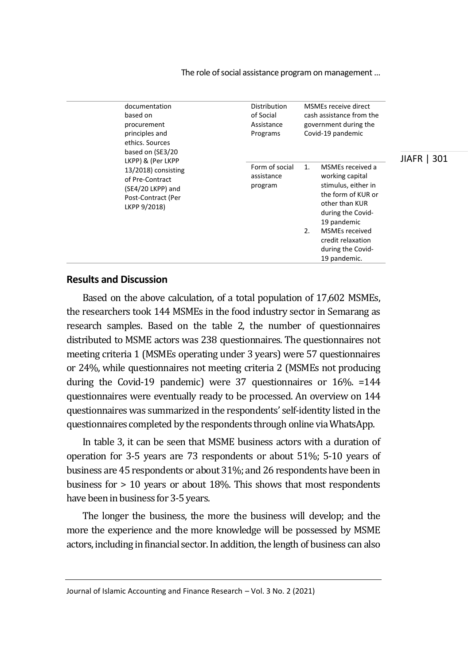The role of social assistance program on management…

| based on | documentation<br>procurement<br>principles and<br>ethics. Sources<br>based on (SE3/20                                  | Distribution<br>of Social<br>Assistance<br>Programs | MSMEs receive direct<br>cash assistance from the<br>government during the<br>Covid-19 pandemic |                                                                                                                                                                                                                    | 301<br><b>JIAFR</b> |
|----------|------------------------------------------------------------------------------------------------------------------------|-----------------------------------------------------|------------------------------------------------------------------------------------------------|--------------------------------------------------------------------------------------------------------------------------------------------------------------------------------------------------------------------|---------------------|
|          | LKPP) & (Per LKPP<br>13/2018) consisting<br>of Pre-Contract<br>(SE4/20 LKPP) and<br>Post-Contract (Per<br>LKPP 9/2018) | Form of social<br>assistance<br>program             | $\mathbf{1}$ .<br>2.                                                                           | MSMEs received a<br>working capital<br>stimulus, either in<br>the form of KUR or<br>other than KUR<br>during the Covid-<br>19 pandemic<br>MSMEs received<br>credit relaxation<br>during the Covid-<br>19 pandemic. |                     |

## **Results and Discussion**

Based on the above calculation, of a total population of 17,602 MSMEs, the researchers took 144 MSMEs in the food industry sector in Semarang as research samples. Based on the table 2, the number of questionnaires distributed to MSME actors was 238 questionnaires. The questionnaires not meeting criteria 1 (MSMEs operating under 3 years) were 57 questionnaires or 24%, while questionnaires not meeting criteria 2 (MSMEs not producing during the Covid-19 pandemic) were 37 questionnaires or 16%. =144 questionnaires were eventually ready to be processed. An overview on 144 questionnaires was summarized in the respondents' self-identity listed in the questionnaires completed by the respondents through online via WhatsApp.

In table 3, it can be seen that MSME business actors with a duration of operation for 3-5 years are 73 respondents or about 51%; 5-10 years of business are 45 respondents or about 31%; and 26 respondents have been in business for > 10 years or about 18%. This shows that most respondents have been in business for 3-5 years.

The longer the business, the more the business will develop; and the more the experience and the more knowledge will be possessed by MSME actors, including in financial sector. In addition, the length of business can also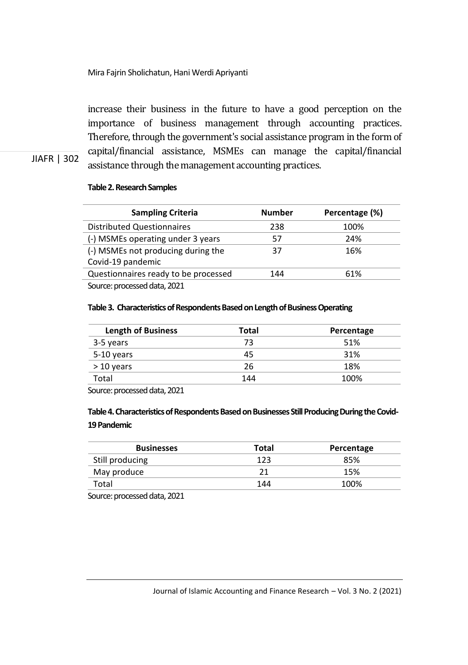increase their business in the future to have a good perception on the importance of business management through accounting practices. Therefore, through the government's social assistance program in the form of capital/financial assistance, MSMEs can manage the capital/financial assistance through the management accounting practices.

# **Table 2. Research Samples**

JIAFR | 302

| <b>Sampling Criteria</b>             | <b>Number</b> | Percentage (%) |
|--------------------------------------|---------------|----------------|
| <b>Distributed Questionnaires</b>    | 238           | 100%           |
| (-) MSMEs operating under 3 years    | 57            | 24%            |
| (-) MSMEs not producing during the   | 37            | 16%            |
| Covid-19 pandemic                    |               |                |
| Questionnaires ready to be processed | 144           | 61%            |
| Source: processed data, 2021         |               |                |

#### Table 3. Characteristics of Respondents Based on Length of Business Operating

| <b>Length of Business</b> | Total | Percentage |
|---------------------------|-------|------------|
| 3-5 years                 | 73    | 51%        |
| 5-10 years                | 45    | 31%        |
| $>10$ years               | 26    | 18%        |
| Total                     | 144   | 100%       |

Source: processed data, 2021

# **Table4. Characteristics of Respondents Based on Businesses Still Producing During the Covid-19 Pandemic**

| 123 | 85%  |
|-----|------|
|     | 15%  |
| 144 | 100% |
|     |      |

Source: processed data, 2021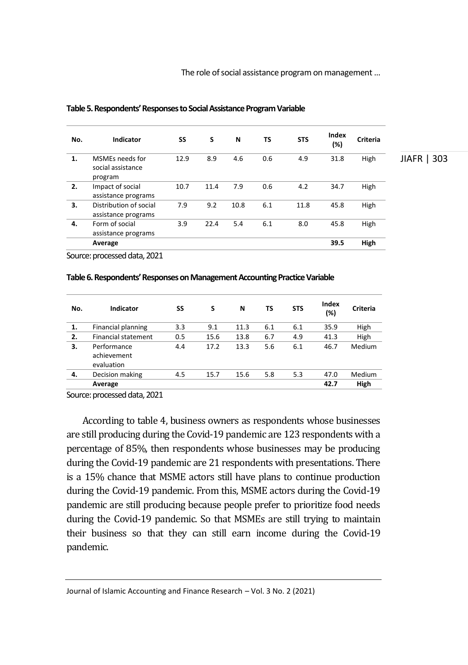| No.                      | <b>Indicator</b>                                | SS   | S    | N    | TS  | <b>STS</b> | Index<br>(%) | <b>Criteria</b> |             |
|--------------------------|-------------------------------------------------|------|------|------|-----|------------|--------------|-----------------|-------------|
| 1.                       | MSMEs needs for<br>social assistance<br>program | 12.9 | 8.9  | 4.6  | 0.6 | 4.9        | 31.8         | High            | JIAFR   303 |
| 2.                       | Impact of social<br>assistance programs         | 10.7 | 11.4 | 7.9  | 0.6 | 4.2        | 34.7         | High            |             |
| 3.                       | Distribution of social<br>assistance programs   | 7.9  | 9.2  | 10.8 | 6.1 | 11.8       | 45.8         | High            |             |
| 4.                       | Form of social<br>assistance programs           | 3.9  | 22.4 | 5.4  | 6.1 | 8.0        | 45.8         | High            |             |
|                          | Average                                         |      |      |      |     |            | 39.5         | High            |             |
| $\overline{\phantom{a}}$ | .                                               |      |      |      |     |            |              |                 |             |

#### **Table 5. Respondents'Responses to Social Assistance ProgramVariable**

Source: processed data, 2021

#### **Table6. Respondents' Responseson Management Accounting PracticeVariable**

| No. | Indicator                                | SS  | S    | N    | ΤS  | <b>STS</b> | Index<br>(%) | Criteria |
|-----|------------------------------------------|-----|------|------|-----|------------|--------------|----------|
| 1.  | Financial planning                       | 3.3 | 9.1  | 11.3 | 6.1 | 6.1        | 35.9         | High     |
| 2.  | <b>Financial statement</b>               | 0.5 | 15.6 | 13.8 | 6.7 | 4.9        | 41.3         | High     |
| 3.  | Performance<br>achievement<br>evaluation | 4.4 | 17.2 | 13.3 | 5.6 | 6.1        | 46.7         | Medium   |
| 4.  | Decision making                          | 4.5 | 15.7 | 15.6 | 5.8 | 5.3        | 47.0         | Medium   |
|     | Average                                  |     |      |      |     |            | 42.7         | High     |

Source: processed data, 2021

According to table 4, business owners as respondents whose businesses are still producing during the Covid-19 pandemic are 123 respondents with a percentage of 85%, then respondents whose businesses may be producing during the Covid-19 pandemic are 21 respondents with presentations. There is a 15% chance that MSME actors still have plans to continue production during the Covid-19 pandemic. From this, MSME actors during the Covid-19 pandemic are still producing because people prefer to prioritize food needs during the Covid-19 pandemic. So that MSMEs are still trying to maintain their business so that they can still earn income during the Covid-19 pandemic.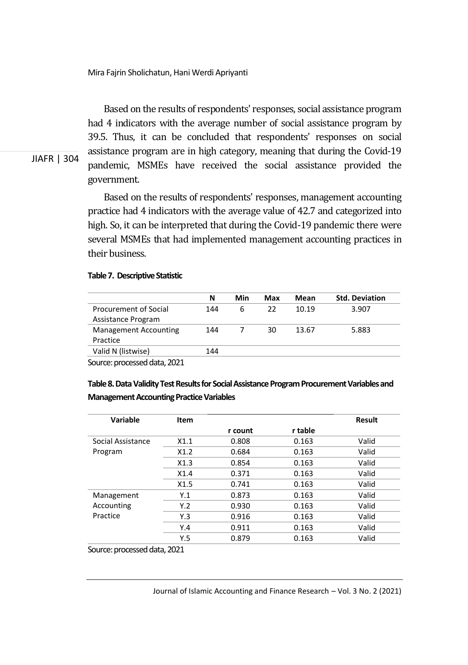Based on the results of respondents' responses, social assistance program had 4 indicators with the average number of social assistance program by 39.5. Thus, it can be concluded that respondents' responses on social assistance program are in high category, meaning that during the Covid-19 pandemic, MSMEs have received the social assistance provided the government.

Based on the results of respondents' responses, management accounting practice had 4 indicators with the average value of 42.7 and categorized into high. So, it can be interpreted that during the Covid-19 pandemic there were several MSMEs that had implemented management accounting practices in their business.

#### **Table7. Descriptive Statistic**

JIAFR | 304

|                              | N   | Min | Max | Mean  | <b>Std. Deviation</b> |
|------------------------------|-----|-----|-----|-------|-----------------------|
| <b>Procurement of Social</b> | 144 | 6   | 22  | 10.19 | 3.907                 |
| Assistance Program           |     |     |     |       |                       |
| <b>Management Accounting</b> | 144 |     | 30  | 13.67 | 5.883                 |
| Practice                     |     |     |     |       |                       |
| Valid N (listwise)           | 144 |     |     |       |                       |
| $\cdots$<br>$\sim$           |     |     |     |       |                       |

Source: processed data, 2021

Table 8. Data Validity Test Results for Social Assistance Program Procurement Variables and **Management Accounting Practice Variables** 

| Variable          | Item |         |         | <b>Result</b> |
|-------------------|------|---------|---------|---------------|
|                   |      | r count | r table |               |
| Social Assistance | X1.1 | 0.808   | 0.163   | Valid         |
| Program           | X1.2 | 0.684   | 0.163   | Valid         |
|                   | X1.3 | 0.854   | 0.163   | Valid         |
|                   | X1.4 | 0.371   | 0.163   | Valid         |
|                   | X1.5 | 0.741   | 0.163   | Valid         |
| Management        | Y.1  | 0.873   | 0.163   | Valid         |
| Accounting        | Y.2  | 0.930   | 0.163   | Valid         |
| Practice          | Y.3  | 0.916   | 0.163   | Valid         |
|                   | Y.4  | 0.911   | 0.163   | Valid         |
|                   | Y.5  | 0.879   | 0.163   | Valid         |

Source: processed data, 2021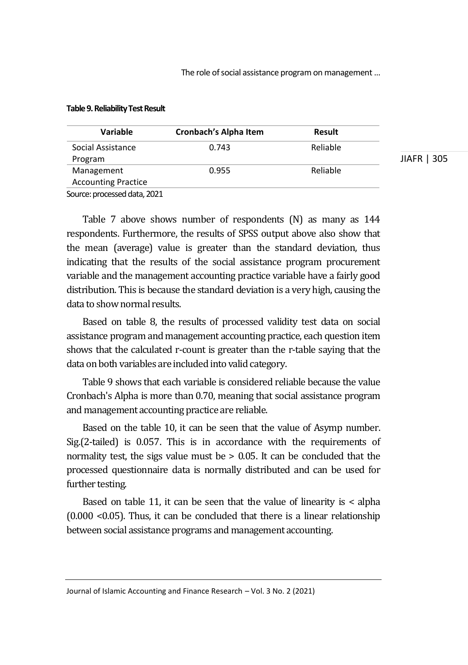The role of social assistance program on management…

| Variable                   | Cronbach's Alpha Item | Result   |             |
|----------------------------|-----------------------|----------|-------------|
| Social Assistance          | 0.743                 | Reliable |             |
| Program                    |                       |          | JIAFR   305 |
| Management                 | 0.955                 | Reliable |             |
| <b>Accounting Practice</b> |                       |          |             |
|                            |                       |          |             |

#### **Table9.Reliability Test Result**

Source: processed data, 2021

Table 7 above shows number of respondents (N) as many as 144 respondents. Furthermore, the results of SPSS output above also show that the mean (average) value is greater than the standard deviation, thus indicating that the results of the social assistance program procurement variable and the management accounting practice variable have a fairly good distribution. This is because the standard deviation is a very high, causing the data to show normal results.

Based on table 8, the results of processed validity test data on social assistance program and management accounting practice, each question item shows that the calculated r-count is greater than the r-table saying that the data on both variables are included into valid category.

Table 9 shows that each variable is considered reliable because the value Cronbach's Alpha is more than 0.70, meaning that social assistance program and management accounting practice are reliable.

Based on the table 10, it can be seen that the value of Asymp number. Sig.(2-tailed) is 0.057. This is in accordance with the requirements of normality test, the sigs value must be > 0.05. It can be concluded that the processed questionnaire data is normally distributed and can be used for further testing.

Based on table 11, it can be seen that the value of linearity is < alpha (0.000 <0.05). Thus, it can be concluded that there is a linear relationship between social assistance programs and management accounting.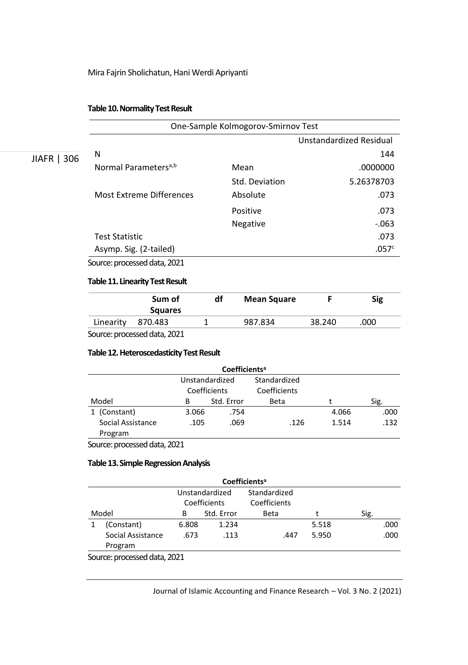#### **Table10. Normality Test Result**

|             | One-Sample Kolmogorov-Smirnov Test |                 |                         |  |  |  |  |  |
|-------------|------------------------------------|-----------------|-------------------------|--|--|--|--|--|
|             |                                    |                 | Unstandardized Residual |  |  |  |  |  |
| JIAFR   306 | N                                  |                 | 144                     |  |  |  |  |  |
|             | Normal Parameters <sup>a,b</sup>   | Mean            | .0000000                |  |  |  |  |  |
|             |                                    | Std. Deviation  | 5.26378703              |  |  |  |  |  |
|             | Most Extreme Differences           | Absolute        | .073                    |  |  |  |  |  |
|             |                                    | Positive        | .073                    |  |  |  |  |  |
|             |                                    | <b>Negative</b> | $-063$                  |  |  |  |  |  |
|             | <b>Test Statistic</b>              |                 | .073                    |  |  |  |  |  |
|             | Asymp. Sig. (2-tailed)             |                 | .057 <sup>c</sup>       |  |  |  |  |  |
|             |                                    |                 |                         |  |  |  |  |  |

Source: processed data, 2021

### **Table 11. Linearity Test Result**

|           | Sum of<br><b>Squares</b> | df | <b>Mean Square</b> |        | Sig  |
|-----------|--------------------------|----|--------------------|--------|------|
| Linearity | 870.483                  |    | 987.834            | 38.240 | .000 |

Source: processed data, 2021

## **Table12. Heteroscedasticity Test Result**

| Coefficients <sup>a</sup>    |                                |            |                              |       |      |  |  |
|------------------------------|--------------------------------|------------|------------------------------|-------|------|--|--|
|                              | Unstandardized<br>Coefficients |            | Standardized<br>Coefficients |       |      |  |  |
| Model                        | в                              | Std. Error | Beta                         |       | Sig. |  |  |
| 1 (Constant)                 | 3.066                          | .754       |                              | 4.066 | .000 |  |  |
| Social Assistance<br>Program | .105                           | .069       | .126                         | 1.514 | .132 |  |  |

Source: processed data, 2021

### **Table13. Simple Regression Analysis**

|       | Coefficients <sup>a</sup>    |       |                                |                              |       |      |  |  |
|-------|------------------------------|-------|--------------------------------|------------------------------|-------|------|--|--|
|       |                              |       | Unstandardized<br>Coefficients | Standardized<br>Coefficients |       |      |  |  |
| Model |                              | в     | Std. Error                     | <b>Beta</b>                  |       | Sig. |  |  |
|       | (Constant)                   | 6.808 | 1.234                          |                              | 5.518 | .000 |  |  |
|       | Social Assistance<br>Program | .673  | .113                           | .447                         | 5.950 | .000 |  |  |
|       | Cource: processed data 2021  |       |                                |                              |       |      |  |  |

Source: processed data, 2021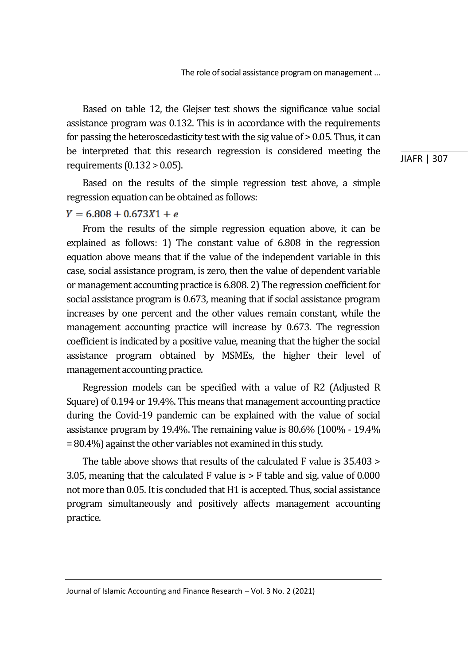Based on table 12, the Glejser test shows the significance value social assistance program was 0.132. This is in accordance with the requirements for passing the heteroscedasticity test with the sig value of > 0.05. Thus, it can be interpreted that this research regression is considered meeting the requirements (0.132 > 0.05).

JIAFR | 307

Based on the results of the simple regression test above, a simple regression equation can be obtained as follows:

# $Y = 6.808 + 0.673X1 + e$

From the results of the simple regression equation above, it can be explained as follows: 1) The constant value of 6.808 in the regression equation above means that if the value of the independent variable in this case, social assistance program, is zero, then the value of dependent variable or management accounting practice is 6.808. 2) The regression coefficient for social assistance program is 0.673, meaning that if social assistance program increases by one percent and the other values remain constant, while the management accounting practice will increase by 0.673. The regression coefficient is indicated by a positive value, meaning that the higher the social assistance program obtained by MSMEs, the higher their level of management accounting practice.

Regression models can be specified with a value of R2 (Adjusted R Square) of 0.194 or 19.4%. This means that management accounting practice during the Covid-19 pandemic can be explained with the value of social assistance program by 19.4%. The remaining value is 80.6% (100% - 19.4% = 80.4%) against the other variables not examined in this study.

The table above shows that results of the calculated F value is 35.403 > 3.05, meaning that the calculated F value is > F table and sig. value of 0.000 not more than 0.05. It is concluded that H1 is accepted. Thus, social assistance program simultaneously and positively affects management accounting practice.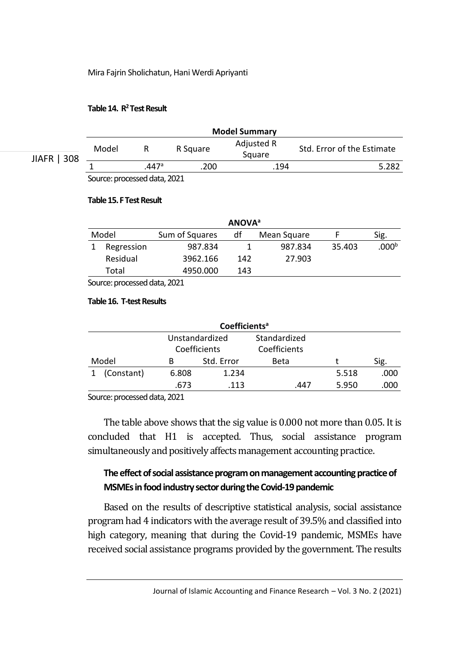# **Table14. R <sup>2</sup> Test Result**

|             |       |       | <b>Model Summary</b> |                      |                            |
|-------------|-------|-------|----------------------|----------------------|----------------------------|
| JIAFR   308 | Model |       | R Square             | Adjusted R<br>Square | Std. Error of the Estimate |
|             |       | .447a | .200                 | .194                 | 5.282                      |
|             |       |       |                      |                      |                            |

Source: processed data, 2021

#### **Table15. F Test Result**

| <b>ANOVA</b> <sup>a</sup> |            |                |     |             |        |                   |  |  |  |
|---------------------------|------------|----------------|-----|-------------|--------|-------------------|--|--|--|
| Model                     |            | Sum of Squares | df  | Mean Square |        | Sig.              |  |  |  |
|                           | Regression | 987.834        |     | 987.834     | 35.403 | .000 <sup>b</sup> |  |  |  |
|                           | Residual   | 3962.166       | 142 | 27.903      |        |                   |  |  |  |
|                           | Total      | 4950.000       | 143 |             |        |                   |  |  |  |

Source: processed data, 2021

# **Table16. T-test Results**

| Coefficients <sup>a</sup> |       |                |              |       |      |  |  |
|---------------------------|-------|----------------|--------------|-------|------|--|--|
|                           |       | Unstandardized | Standardized |       |      |  |  |
|                           |       | Coefficients   | Coefficients |       |      |  |  |
| Model                     | в     | Std. Error     | Beta         |       | Sig. |  |  |
| (Constant)                | 6.808 | 1.234          |              | 5.518 | .000 |  |  |
|                           | .673  | .113           | .447         | 5.950 | .000 |  |  |
|                           |       |                |              |       |      |  |  |

Source: processed data, 2021

The table above shows that the sig value is 0.000 not more than 0.05. It is concluded that H1 is accepted. Thus, social assistance program simultaneously and positively affects management accounting practice.

# **The effect of social assistance programon management accounting practice of MSMEs in food industry sector during the Covid-19 pandemic**

Based on the results of descriptive statistical analysis, social assistance program had 4 indicators with the average result of 39.5% and classified into high category, meaning that during the Covid-19 pandemic, MSMEs have received social assistance programs provided by the government. The results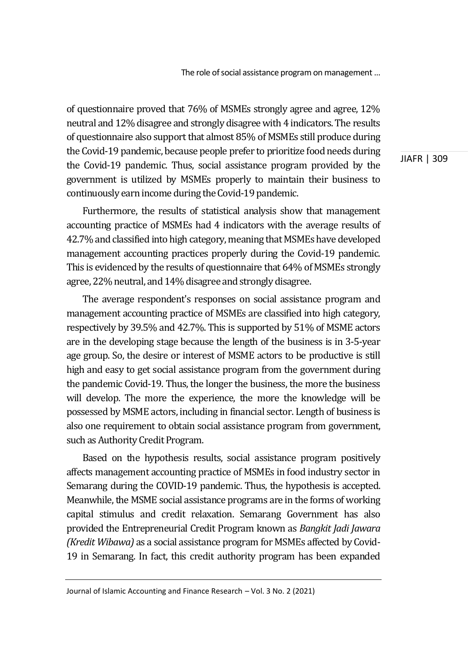of questionnaire proved that 76% of MSMEs strongly agree and agree, 12% neutral and 12% disagree and strongly disagreewith 4 indicators. The results of questionnaire also support that almost 85% of MSMEs still produce during the Covid-19 pandemic, because people prefer to prioritize food needs during the Covid-19 pandemic. Thus, social assistance program provided by the government is utilized by MSMEs properly to maintain their business to continuously earn income during the Covid-19 pandemic.

Furthermore, the results of statistical analysis show that management accounting practice of MSMEs had 4 indicators with the average results of 42.7% and classified into high category, meaning that MSMEs have developed management accounting practices properly during the Covid-19 pandemic. This is evidenced by the results of questionnaire that 64% of MSMEs strongly agree, 22% neutral, and 14% disagree and strongly disagree.

The average respondent's responses on social assistance program and management accounting practice of MSMEs are classified into high category, respectively by 39.5% and 42.7%. This is supported by 51% of MSME actors are in the developing stage because the length of the business is in 3-5-year age group. So, the desire or interest of MSME actors to be productive is still high and easy to get social assistance program from the government during the pandemic Covid-19. Thus, the longer the business, the more the business will develop. The more the experience, the more the knowledge will be possessed by MSME actors, including in financial sector. Length of business is also one requirement to obtain social assistance program from government, such as Authority Credit Program.

Based on the hypothesis results, social assistance program positively affects management accounting practice of MSMEs in food industry sector in Semarang during the COVID-19 pandemic. Thus, the hypothesis is accepted. Meanwhile, the MSME social assistance programs are in the forms of working capital stimulus and credit relaxation. Semarang Government has also provided the Entrepreneurial Credit Program known as *Bangkit Jadi Jawara (Kredit Wibawa)* as a social assistance program for MSMEs affected by Covid-19 in Semarang. In fact, this credit authority program has been expanded

Journal of Islamic Accounting and Finance Research – Vol. 3 No. 2 (2021)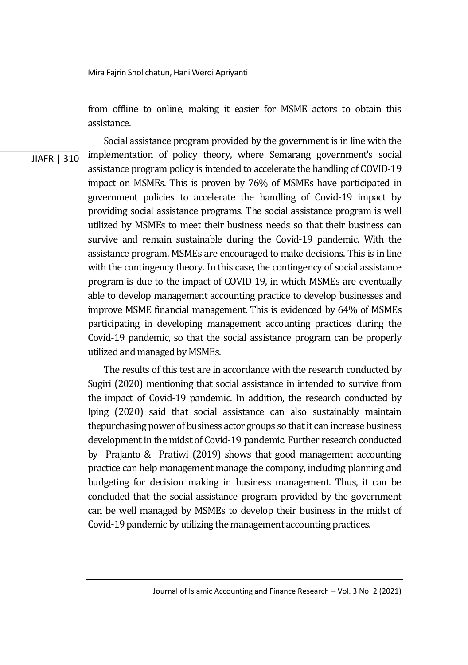from offline to online*,* making it easier for MSME actors to obtain this assistance.

JIAFR | 310 Social assistance program provided by the government is in line with the implementation of policy theory, where Semarang government's social assistance program policy is intended to accelerate the handling of COVID-19 impact on MSMEs. This is proven by 76% of MSMEs have participated in government policies to accelerate the handling of Covid-19 impact by providing social assistance programs. The social assistance program is well utilized by MSMEs to meet their business needs so that their business can survive and remain sustainable during the Covid-19 pandemic. With the assistance program, MSMEs are encouraged to make decisions. This is in line with the contingency theory. In this case, the contingency of social assistance program is due to the impact of COVID-19, in which MSMEs are eventually able to develop management accounting practice to develop businesses and improve MSME financial management. This is evidenced by 64% of MSMEs participating in developing management accounting practices during the Covid-19 pandemic, so that the social assistance program can be properly utilized and managed by MSMEs.

> The results of this test are in accordance with the research conducted by Sugiri (2020) mentioning that social assistance in intended to survive from the impact of Covid-19 pandemic. In addition, the research conducted by Iping (2020) said that social assistance can also sustainably maintain thepurchasing power of business actor groups so that it can increase business development in the midst of Covid-19 pandemic. Further research conducted by Prajanto & Pratiwi (2019) shows that good management accounting practice can help management manage the company, including planning and budgeting for decision making in business management. Thus, it can be concluded that the social assistance program provided by the government can be well managed by MSMEs to develop their business in the midst of Covid-19 pandemic by utilizing the management accounting practices.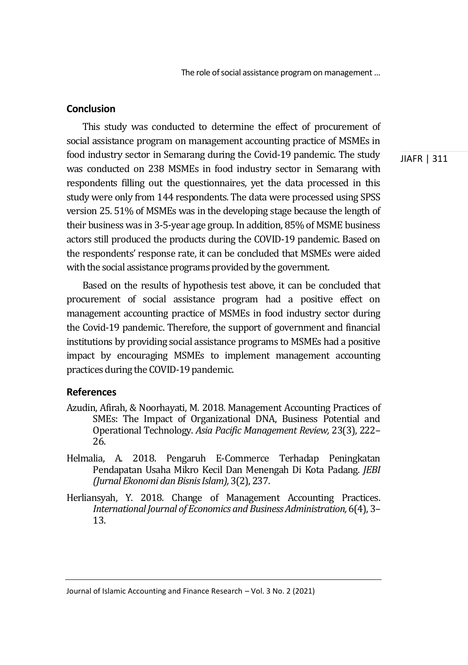The role of social assistance program on management…

# **Conclusion**

This study was conducted to determine the effect of procurement of social assistance program on management accounting practice of MSMEs in food industry sector in Semarang during the Covid-19 pandemic. The study was conducted on 238 MSMEs in food industry sector in Semarang with respondents filling out the questionnaires, yet the data processed in this study were only from 144 respondents. The data were processed using SPSS version 25. 51% of MSMEs was in the developing stage because the length of their business was in 3-5-year age group. In addition, 85% of MSME business actors still produced the products during the COVID-19 pandemic. Based on the respondents' response rate, it can be concluded that MSMEs were aided with the social assistance programs provided by the government.

Based on the results of hypothesis test above, it can be concluded that procurement of social assistance program had a positive effect on management accounting practice of MSMEs in food industry sector during the Covid-19 pandemic. Therefore, the support of government and financial institutions by providing social assistance programs to MSMEs had a positive impact by encouraging MSMEs to implement management accounting practices during the COVID-19 pandemic.

# **References**

- Azudin, Afirah, & Noorhayati, M. 2018. Management Accounting Practices of SMEs: The Impact of Organizational DNA, Business Potential and Operational Technology. *Asia Pacific Management Review,* 23(3), 222– 26.
- Helmalia, A. 2018. Pengaruh E-Commerce Terhadap Peningkatan Pendapatan Usaha Mikro Kecil Dan Menengah Di Kota Padang. *JEBI (Jurnal Ekonomi dan Bisnis Islam),*3(2), 237.
- Herliansyah, Y. 2018. Change of Management Accounting Practices. *International Journal of Economics and Business Administration,* 6(4), 3– 13.

Journal of Islamic Accounting and Finance Research – Vol. 3 No. 2 (2021)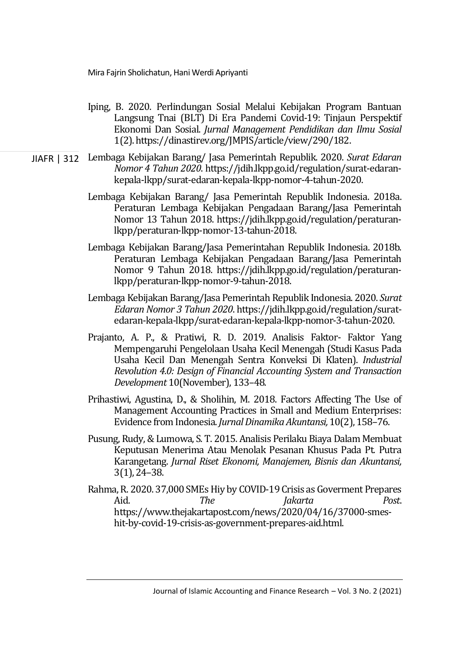- Iping, B. 2020. Perlindungan Sosial Melalui Kebijakan Program Bantuan Langsung Tnai (BLT) Di Era Pandemi Covid-19: Tinjaun Perspektif Ekonomi Dan Sosial. *Jurnal Management Pendidikan dan Ilmu Sosial* 1(2). https://dinastirev.org/JMPIS/article/view/290/182.
- JIAFR | 312 Lembaga Kebijakan Barang/ Jasa Pemerintah Republik. 2020. *Surat Edaran Nomor 4 Tahun 2020*. https://jdih.lkpp.go.id/regulation/surat-edarankepala-lkpp/surat-edaran-kepala-lkpp-nomor-4-tahun-2020.
	- Lembaga Kebijakan Barang/ Jasa Pemerintah Republik Indonesia. 2018a. Peraturan Lembaga Kebijakan Pengadaan Barang/Jasa Pemerintah Nomor 13 Tahun 2018. https://jdih.lkpp.go.id/regulation/peraturanlkpp/peraturan-lkpp-nomor-13-tahun-2018.
	- Lembaga Kebijakan Barang/Jasa Pemerintahan Republik Indonesia. 2018b. Peraturan Lembaga Kebijakan Pengadaan Barang/Jasa Pemerintah Nomor 9 Tahun 2018. https://jdih.lkpp.go.id/regulation/peraturanlkpp/peraturan-lkpp-nomor-9-tahun-2018.
	- Lembaga Kebijakan Barang/Jasa Pemerintah Republik Indonesia. 2020. *Surat Edaran Nomor 3 Tahun 2020*. https://jdih.lkpp.go.id/regulation/suratedaran-kepala-lkpp/surat-edaran-kepala-lkpp-nomor-3-tahun-2020.
	- Prajanto, A. P., & Pratiwi, R. D. 2019. Analisis Faktor- Faktor Yang Mempengaruhi Pengelolaan Usaha Kecil Menengah (Studi Kasus Pada Usaha Kecil Dan Menengah Sentra Konveksi Di Klaten). *Industrial Revolution 4.0: Design of Financial Accounting System and Transaction Development* 10(November), 133–48.
	- Prihastiwi, Agustina, D., & Sholihin, M. 2018. Factors Affecting The Use of Management Accounting Practices in Small and Medium Enterprises: Evidence from Indonesia.*Jurnal Dinamika Akuntansi,* 10(2), 158–76.
	- Pusung, Rudy, &Lumowa, S. T. 2015. Analisis Perilaku Biaya Dalam Membuat Keputusan Menerima Atau Menolak Pesanan Khusus Pada Pt. Putra Karangetang. *Jurnal Riset Ekonomi, Manajemen, Bisnis dan Akuntansi,* 3(1), 24–38.
	- Rahma, R. 2020. 37,000 SMEs Hiy by COVID-19 Crisis as Goverment Prepares Aid. *The Jakarta Post*. https://www.thejakartapost.com/news/2020/04/16/37000-smeshit-by-covid-19-crisis-as-government-prepares-aid.html.